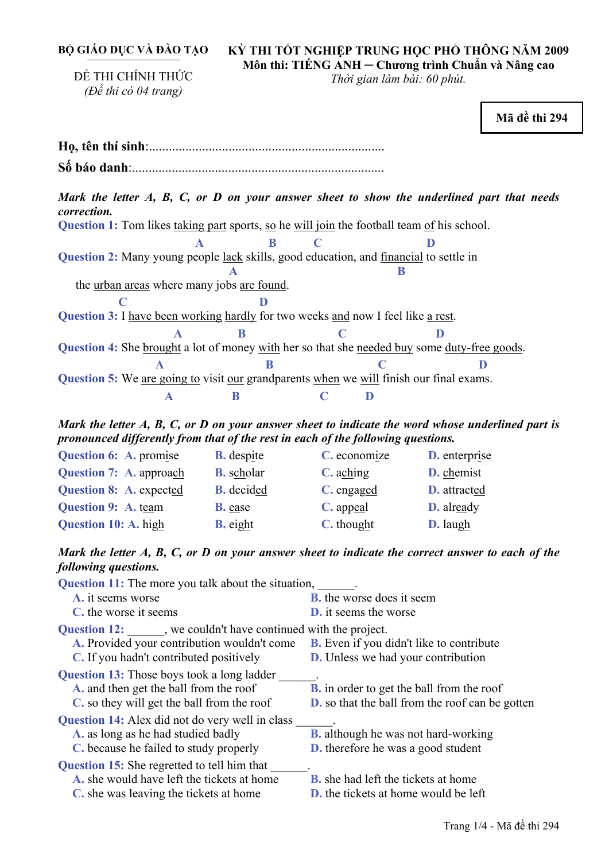**BỘ GIÁO DỤC VÀ ĐÀO TẠO** 

ĐỀ THI CHÍNH THỨC *(Đề thi có 04 trang)* 

## **KỲ THI TỐT NGHIỆP TRUNG HỌC PHỔ THÔNG NĂM 2009 Môn thi: TIẾNG ANH ─ Chương trình Chuẩn và Nâng cao**

*Thời gian làm bài: 60 phút.* 

**Mã đề thi 294 Họ, tên thí sinh**:.......................................................................... **Số báo danh**:............................................................................. *Mark the letter A, B, C, or D on your answer sheet to show the underlined part that needs correction.* **Question 1:** Tom likes taking part sports, so he will join the football team of his school.  **A B C D** Question 2: Many young people lack skills, good education, and **financial** to settle in **A** B the urban areas where many jobs are found. **c D Question 3:** I have been working hardly for two weeks and now I feel like a rest. **A** B C D Question 4: She brought a lot of money with her so that she needed buy some duty-free goods. **A** B C D **Question 5:** We are going to visit our grandparents when we will finish our final exams. **A B C D** *Mark the letter A, B, C, or D on your answer sheet to indicate the word whose underlined part is pronounced differently from that of the rest in each of the following questions.*  **Question 6:** A. promise **B.** despite **C.** economize **D.** enterprise **Question 7:** A. approach **B.** scholar **C.** aching **D.** chemist **Question 8:** A. expected **B.** decided **C.** engaged **D.** attracted **Question 9: A.** team **B.** ease **C.** appeal **D.** already **Question 10:** A. high **B.** eight **C.** thought **D.** laugh *Mark the letter A, B, C, or D on your answer sheet to indicate the correct answer to each of the following questions.* **Question 11:** The more you talk about the situation, **A.** it seems worse **B.** the worse does it seem **C.** the worse it seems **D.** it seems the worse **Question 12:** we couldn't have continued with the project. **A.** Provided your contribution wouldn't come **B.** Even if you didn't like to contribute **C.** If you hadn't contributed positively **D.** Unless we had your contribution **Question 13:** Those boys took a long ladder \_\_\_\_\_\_. **B.** in order to get the ball from the roof **C.** so they will get the ball from the roof **D.** so that the ball from the roof can be gotten **Question 14:** Alex did not do very well in class **A.** as long as he had studied badly **B.** although he was not hard-working **C.** because he failed to study properly **D.** therefore he was a good student **Question 15:** She regretted to tell him that **A.** she would have left the tickets at home **B.** she had left the tickets at home

**C.** she was leaving the tickets at home **D.** the tickets at home would be left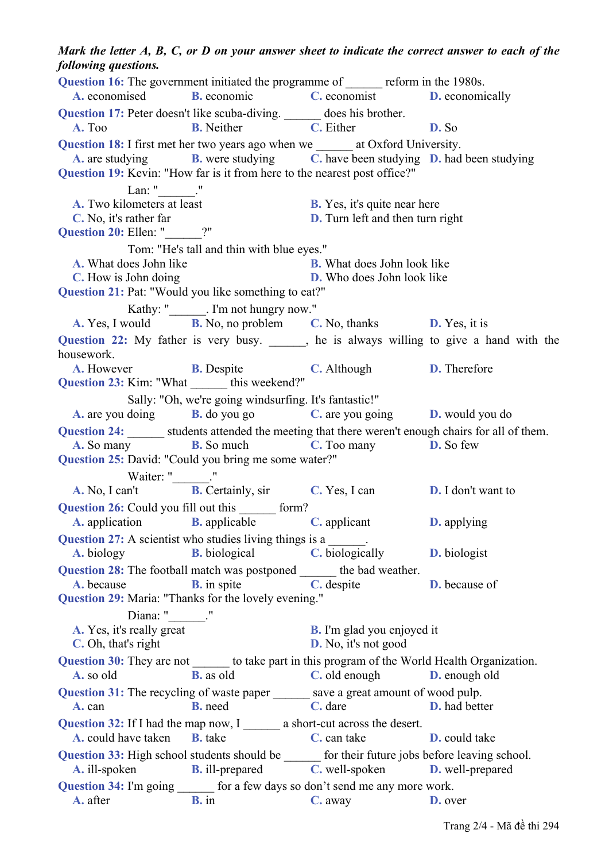*following questions.*  **Question 16:** The government initiated the programme of reform in the 1980s. **A.** economised **B.** economic **C.** economist **D.** economically **Question 17:** Peter doesn't like scuba-diving. \_\_\_\_\_\_ does his brother. **A.** Too **B.** Neither **C.** Either **D.** So **Question 18:** I first met her two years ago when we \_\_\_\_\_\_ at Oxford University. **A.** are studying **B.** were studying **C.** have been studying **D.** had been studying **Question 19:** Kevin: "How far is it from here to the nearest post office?" Lan: " $\qquad$ ." **A.** Two kilometers at least **B.** Yes, it's quite near here **C.** No, it's rather far **D.** Turn left and then turn right **Question 20: Ellen:** " Tom: "He's tall and thin with blue eyes." **A.** What does John like **B.** What does John look like **C.** How is John doing **D.** Who does John look like **Question 21:** Pat: "Would you like something to eat?" Kathy: " . I'm not hungry now." **A.** Yes, I would **B.** No, no problem **C.** No, thanks **D.** Yes, it is **Question 22:** My father is very busy.  $\qquad$ , he is always willing to give a hand with the housework. **A.** However **B.** Despite **C.** Although **D.** Therefore **Question 23:** Kim: "What \_\_\_\_\_\_\_ this weekend?" Sally: "Oh, we're going windsurfing. It's fantastic!" **A.** are you doing **B.** do you go **C.** are you going **D.** would you do **Question 24:** students attended the meeting that there weren't enough chairs for all of them. **A.** So many **B.** So much **C.** Too many **D.** So few **Question 25:** David: "Could you bring me some water?" Waiter: "\_\_\_\_\_\_\_\_." **A.** No, I can't **B.** Certainly, sir **C.** Yes, I can **D.** I don't want to **Question 26:** Could you fill out this form? **A.** application **B.** applicable **C.** applicant **D.** applying **Question 27:** A scientist who studies living things is a **A.** biology **B.** biological **C.** biologically **D.** biologist **Question 28:** The football match was postponed the bad weather. **A.** because **B.** in spite **C.** despite **D.** because of **Question 29:** Maria: "Thanks for the lovely evening." Diana: " **A.** Yes, it's really great **B.** I'm glad you enjoyed it **C.** Oh, that's right **D.** No, it's not good **Question 30:** They are not to take part in this program of the World Health Organization. **A.** so old **B.** as old **C.** old enough **D.** enough old **Question 31:** The recycling of waste paper save a great amount of wood pulp. **A.** can **B.** need **C.** dare **D.** had better **Question 32:** If I had the map now, I a short-cut across the desert. **A.** could have taken **B.** take **C.** can take **D.** could take **Question 33:** High school students should be  $\qquad$  for their future jobs before leaving school. **A.** ill-spoken **B.** ill-prepared **C.** well-spoken **D.** well-prepared Question 34: I'm going \_\_\_\_\_\_\_ for a few days so don't send me any more work. **A.** after **B.** in **C.** away **D.** over

## *Mark the letter A, B, C, or D on your answer sheet to indicate the correct answer to each of the*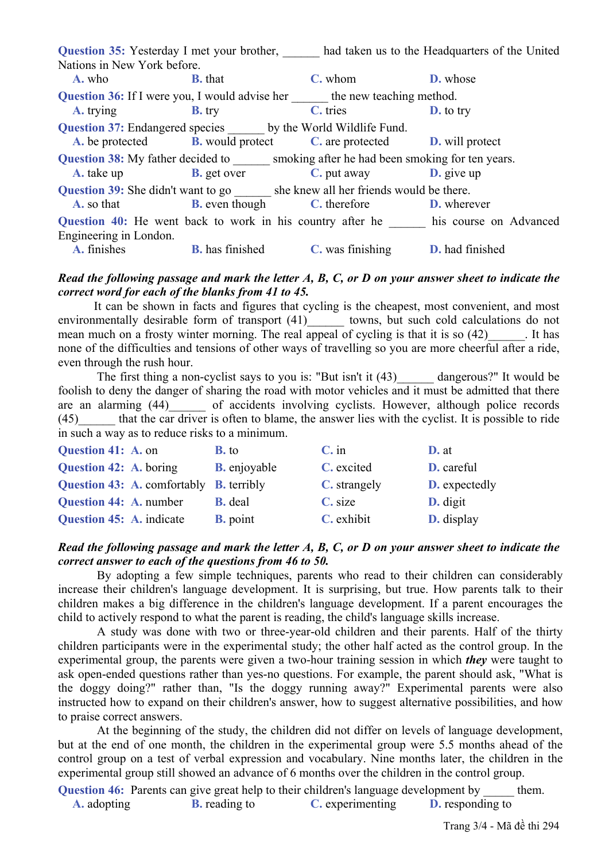|                                                                                           |                |                                                                                               | <b>Question 35:</b> Yesterday I met your brother, had taken us to the Headquarters of the United |  |  |
|-------------------------------------------------------------------------------------------|----------------|-----------------------------------------------------------------------------------------------|--------------------------------------------------------------------------------------------------|--|--|
| Nations in New York before.                                                               |                |                                                                                               |                                                                                                  |  |  |
| A. who                                                                                    | <b>B.</b> that | C. whom                                                                                       | <b>D.</b> whose                                                                                  |  |  |
|                                                                                           |                |                                                                                               | <b>Question 36:</b> If I were you, I would advise her the new teaching method.                   |  |  |
| A. trying                                                                                 | $B$ , try      | C. tries                                                                                      | <b>D.</b> to try                                                                                 |  |  |
| Question 37: Endangered species ______ by the World Wildlife Fund.                        |                |                                                                                               |                                                                                                  |  |  |
|                                                                                           |                | <b>A.</b> be protected <b>B.</b> would protect <b>C.</b> are protected <b>D.</b> will protect |                                                                                                  |  |  |
| <b>Question 38:</b> My father decided to smoking after he had been smoking for ten years. |                |                                                                                               |                                                                                                  |  |  |
| <b>A.</b> take up <b>B.</b> get over                                                      |                | <b>C</b> , put away <b>D</b> , give up                                                        |                                                                                                  |  |  |
| <b>Question 39:</b> She didn't want to go she knew all her friends would be there.        |                |                                                                                               |                                                                                                  |  |  |
|                                                                                           |                | <b>A.</b> so that <b>B.</b> even though <b>C.</b> therefore <b>D.</b> wherever                |                                                                                                  |  |  |
|                                                                                           |                |                                                                                               | Question 40: He went back to work in his country after he his course on Advanced                 |  |  |
| Engineering in London.                                                                    |                |                                                                                               |                                                                                                  |  |  |
|                                                                                           |                | <b>A.</b> finishes <b>B.</b> has finished <b>C.</b> was finishing <b>D.</b> had finished      |                                                                                                  |  |  |

## *Read the following passage and mark the letter A, B, C, or D on your answer sheet to indicate the correct word for each of the blanks from 41 to 45.*

 It can be shown in facts and figures that cycling is the cheapest, most convenient, and most environmentally desirable form of transport (41) towns, but such cold calculations do not mean much on a frosty winter morning. The real appeal of cycling is that it is so (42) lies none of the difficulties and tensions of other ways of travelling so you are more cheerful after a ride, even through the rush hour.

The first thing a non-cyclist says to you is: "But isn't it (43) dangerous?" It would be foolish to deny the danger of sharing the road with motor vehicles and it must be admitted that there are an alarming (44) of accidents involving cyclists. However, although police records (45) that the car driver is often to blame, the answer lies with the cyclist. It is possible to ride in such a way as to reduce risks to a minimum.

| Question 41: A. on            |                                                | <b>B.</b> to        | $C.$ in      | $D.$ at              |
|-------------------------------|------------------------------------------------|---------------------|--------------|----------------------|
| <b>Question 42: A. boring</b> |                                                | <b>B.</b> enjoyable | C. excited   | D. careful           |
|                               | <b>Question 43: A. comfortably B. terribly</b> |                     | C. strangely | <b>D.</b> expectedly |
| <b>Question 44: A. number</b> |                                                | <b>B.</b> deal      | C. size      | <b>D.</b> digit      |
| Question 45: A. indicate      |                                                | <b>B.</b> point     | C. exhibit   | D. display           |

## *Read the following passage and mark the letter A, B, C, or D on your answer sheet to indicate the correct answer to each of the questions from 46 to 50.*

 By adopting a few simple techniques, parents who read to their children can considerably increase their children's language development. It is surprising, but true. How parents talk to their children makes a big difference in the children's language development. If a parent encourages the child to actively respond to what the parent is reading, the child's language skills increase.

 A study was done with two or three-year-old children and their parents. Half of the thirty children participants were in the experimental study; the other half acted as the control group. In the experimental group, the parents were given a two-hour training session in which *they* were taught to ask open-ended questions rather than yes-no questions. For example, the parent should ask, "What is the doggy doing?" rather than, "Is the doggy running away?" Experimental parents were also instructed how to expand on their children's answer, how to suggest alternative possibilities, and how to praise correct answers.

 At the beginning of the study, the children did not differ on levels of language development, but at the end of one month, the children in the experimental group were 5.5 months ahead of the control group on a test of verbal expression and vocabulary. Nine months later, the children in the experimental group still showed an advance of 6 months over the children in the control group.

**Question 46:** Parents can give great help to their children's language development by them. **A.** adopting **B.** reading to **C.** experimenting **D.** responding to